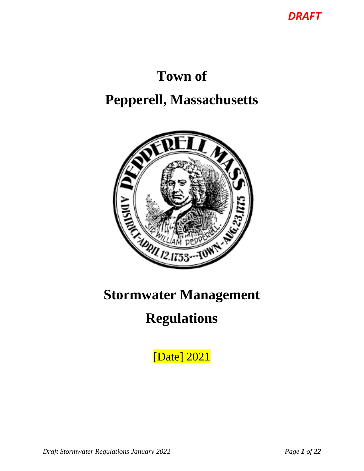*DRAFT*

# **Town of**

## **Pepperell, Massachusetts**



## **Stormwater Management**

## **Regulations**

[Date] 2021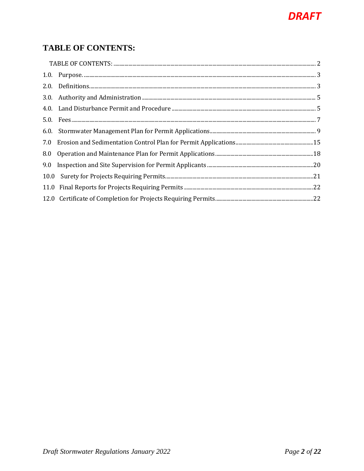## **DRAFT**

### <span id="page-1-0"></span>**TABLE OF CONTENTS:**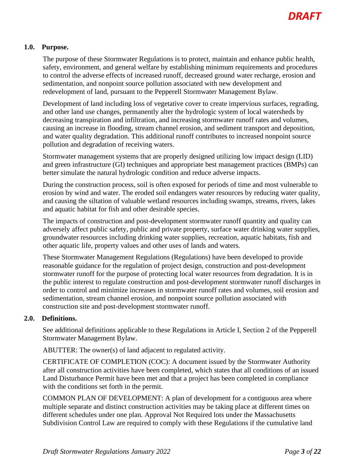#### <span id="page-2-0"></span>**1.0. Purpose.**

The purpose of these Stormwater Regulations is to protect, maintain and enhance public health, safety, environment, and general welfare by establishing minimum requirements and procedures to control the adverse effects of increased runoff, decreased ground water recharge, erosion and sedimentation, and nonpoint source pollution associated with new development and redevelopment of land, pursuant to the Pepperell Stormwater Management Bylaw.

Development of land including loss of vegetative cover to create impervious surfaces, regrading, and other land use changes, permanently alter the hydrologic system of local watersheds by decreasing transpiration and infiltration, and increasing stormwater runoff rates and volumes, causing an increase in flooding, stream channel erosion, and sediment transport and deposition, and water quality degradation. This additional runoff contributes to increased nonpoint source pollution and degradation of receiving waters.

Stormwater management systems that are properly designed utilizing low impact design (LID) and green infrastructure (GI) techniques and appropriate best management practices (BMPs) can better simulate the natural hydrologic condition and reduce adverse impacts.

During the construction process, soil is often exposed for periods of time and most vulnerable to erosion by wind and water. The eroded soil endangers water resources by reducing water quality, and causing the siltation of valuable wetland resources including swamps, streams, rivers, lakes and aquatic habitat for fish and other desirable species.

The impacts of construction and post-development stormwater runoff quantity and quality can adversely affect public safety, public and private property, surface water drinking water supplies, groundwater resources including drinking water supplies, recreation, aquatic habitats, fish and other aquatic life, property values and other uses of lands and waters.

These Stormwater Management Regulations (Regulations) have been developed to provide reasonable guidance for the regulation of project design, construction and post-development stormwater runoff for the purpose of protecting local water resources from degradation. It is in the public interest to regulate construction and post-development stormwater runoff discharges in order to control and minimize increases in stormwater runoff rates and volumes, soil erosion and sedimentation, stream channel erosion, and nonpoint source pollution associated with construction site and post-development stormwater runoff.

#### <span id="page-2-1"></span>**2.0. Definitions.**

See additional definitions applicable to these Regulations in Article I, Section 2 of the Pepperell Stormwater Management Bylaw.

ABUTTER: The owner(s) of land adjacent to regulated activity.

CERTIFICATE OF COMPLETION (COC): A document issued by the Stormwater Authority after all construction activities have been completed, which states that all conditions of an issued Land Disturbance Permit have been met and that a project has been completed in compliance with the conditions set forth in the permit.

COMMON PLAN OF DEVELOPMENT: A plan of development for a contiguous area where multiple separate and distinct construction activities may be taking place at different times on different schedules under one plan. Approval Not Required lots under the Massachusetts Subdivision Control Law are required to comply with these Regulations if the cumulative land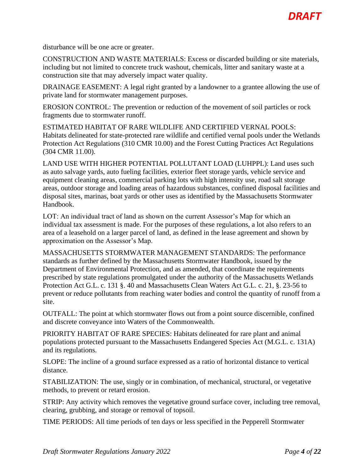

disturbance will be one acre or greater.

CONSTRUCTION AND WASTE MATERIALS: Excess or discarded building or site materials, including but not limited to concrete truck washout, chemicals, litter and sanitary waste at a construction site that may adversely impact water quality.

DRAINAGE EASEMENT: A legal right granted by a landowner to a grantee allowing the use of private land for stormwater management purposes.

EROSION CONTROL: The prevention or reduction of the movement of soil particles or rock fragments due to stormwater runoff.

ESTIMATED HABITAT OF RARE WILDLIFE AND CERTIFIED VERNAL POOLS: Habitats delineated for state-protected rare wildlife and certified vernal pools under the Wetlands Protection Act Regulations (310 CMR 10.00) and the Forest Cutting Practices Act Regulations (304 CMR 11.00).

LAND USE WITH HIGHER POTENTIAL POLLUTANT LOAD (LUHPPL): Land uses such as auto salvage yards, auto fueling facilities, exterior fleet storage yards, vehicle service and equipment cleaning areas, commercial parking lots with high intensity use, road salt storage areas, outdoor storage and loading areas of hazardous substances, confined disposal facilities and disposal sites, marinas, boat yards or other uses as identified by the Massachusetts Stormwater Handbook.

LOT: An individual tract of land as shown on the current Assessor's Map for which an individual tax assessment is made. For the purposes of these regulations, a lot also refers to an area of a leasehold on a larger parcel of land, as defined in the lease agreement and shown by approximation on the Assessor's Map.

MASSACHUSETTS STORMWATER MANAGEMENT STANDARDS: The performance standards as further defined by the Massachusetts Stormwater Handbook, issued by the Department of Environmental Protection, and as amended, that coordinate the requirements prescribed by state regulations promulgated under the authority of the Massachusetts Wetlands Protection Act G.L. c. 131 §. 40 and Massachusetts Clean Waters Act G.L. c. 21, §. 23-56 to prevent or reduce pollutants from reaching water bodies and control the quantity of runoff from a site.

OUTFALL: The point at which stormwater flows out from a point source discernible, confined and discrete conveyance into Waters of the Commonwealth.

PRIORITY HABITAT OF RARE SPECIES: Habitats delineated for rare plant and animal populations protected pursuant to the Massachusetts Endangered Species Act (M.G.L. c. 131A) and its regulations.

SLOPE: The incline of a ground surface expressed as a ratio of horizontal distance to vertical distance.

STABILIZATION: The use, singly or in combination, of mechanical, structural, or vegetative methods, to prevent or retard erosion.

STRIP: Any activity which removes the vegetative ground surface cover, including tree removal, clearing, grubbing, and storage or removal of topsoil.

TIME PERIODS: All time periods of ten days or less specified in the Pepperell Stormwater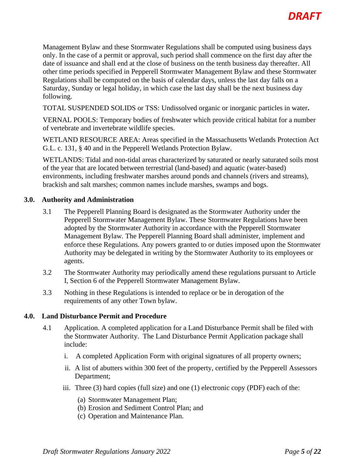Management Bylaw and these Stormwater Regulations shall be computed using business days only. In the case of a permit or approval, such period shall commence on the first day after the date of issuance and shall end at the close of business on the tenth business day thereafter. All other time periods specified in Pepperell Stormwater Management Bylaw and these Stormwater Regulations shall be computed on the basis of calendar days, unless the last day falls on a Saturday, Sunday or legal holiday, in which case the last day shall be the next business day following.

TOTAL SUSPENDED SOLIDS or TSS: Undissolved organic or inorganic particles in water**.**

VERNAL POOLS: Temporary bodies of freshwater which provide critical habitat for a number of vertebrate and invertebrate wildlife species.

WETLAND RESOURCE AREA: Areas specified in the Massachusetts Wetlands Protection Act G.L. c. 131, § 40 and in the Pepperell Wetlands Protection Bylaw.

WETLANDS: Tidal and non-tidal areas characterized by saturated or nearly saturated soils most of the year that are located between terrestrial (land-based) and aquatic (water-based) environments, including freshwater marshes around ponds and channels (rivers and streams), brackish and salt marshes; common names include marshes, swamps and bogs.

#### <span id="page-4-0"></span>**3.0. Authority and Administration**

- 3.1 The Pepperell Planning Board is designated as the Stormwater Authority under the Pepperell Stormwater Management Bylaw. These Stormwater Regulations have been adopted by the Stormwater Authority in accordance with the Pepperell Stormwater Management Bylaw. The Pepperell Planning Board shall administer, implement and enforce these Regulations. Any powers granted to or duties imposed upon the Stormwater Authority may be delegated in writing by the Stormwater Authority to its employees or agents.
- 3.2 The Stormwater Authority may periodically amend these regulations pursuant to Article I, Section 6 of the Pepperell Stormwater Management Bylaw.
- 3.3 Nothing in these Regulations is intended to replace or be in derogation of the requirements of any other Town bylaw.

#### <span id="page-4-1"></span>**4.0. Land Disturbance Permit and Procedure**

- 4.1 Application. A completed application for a Land Disturbance Permit shall be filed with the Stormwater Authority. The Land Disturbance Permit Application package shall include:
	- i. A completed Application Form with original signatures of all property owners;
	- ii. A list of abutters within 300 feet of the property, certified by the Pepperell Assessors Department;
	- iii. Three (3) hard copies (full size) and one (1) electronic copy (PDF) each of the:
		- (a) Stormwater Management Plan;
		- (b) Erosion and Sediment Control Plan; and
		- (c) Operation and Maintenance Plan.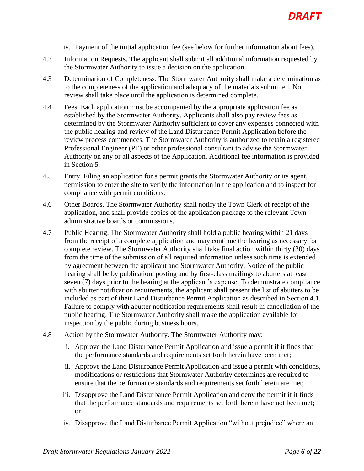- iv. Payment of the initial application fee (see below for further information about fees).
- 4.2 Information Requests. The applicant shall submit all additional information requested by the Stormwater Authority to issue a decision on the application.
- 4.3 Determination of Completeness: The Stormwater Authority shall make a determination as to the completeness of the application and adequacy of the materials submitted. No review shall take place until the application is determined complete.
- 4.4 Fees. Each application must be accompanied by the appropriate application fee as established by the Stormwater Authority. Applicants shall also pay review fees as determined by the Stormwater Authority sufficient to cover any expenses connected with the public hearing and review of the Land Disturbance Permit Application before the review process commences. The Stormwater Authority is authorized to retain a registered Professional Engineer (PE) or other professional consultant to advise the Stormwater Authority on any or all aspects of the Application. Additional fee information is provided in Section 5.
- 4.5 Entry. Filing an application for a permit grants the Stormwater Authority or its agent, permission to enter the site to verify the information in the application and to inspect for compliance with permit conditions.
- 4.6 Other Boards. The Stormwater Authority shall notify the Town Clerk of receipt of the application, and shall provide copies of the application package to the relevant Town administrative boards or commissions.
- 4.7 Public Hearing. The Stormwater Authority shall hold a public hearing within 21 days from the receipt of a complete application and may continue the hearing as necessary for complete review. The Stormwater Authority shall take final action within thirty (30) days from the time of the submission of all required information unless such time is extended by agreement between the applicant and Stormwater Authority. Notice of the public hearing shall be by publication, posting and by first-class mailings to abutters at least seven (7) days prior to the hearing at the applicant's expense. To demonstrate compliance with abutter notification requirements, the applicant shall present the list of abutters to be included as part of their Land Disturbance Permit Application as described in Section 4.1. Failure to comply with abutter notification requirements shall result in cancellation of the public hearing. The Stormwater Authority shall make the application available for inspection by the public during business hours.
- 4.8 Action by the Stormwater Authority. The Stormwater Authority may:
	- i. Approve the Land Disturbance Permit Application and issue a permit if it finds that the performance standards and requirements set forth herein have been met;
	- ii. Approve the Land Disturbance Permit Application and issue a permit with conditions, modifications or restrictions that Stormwater Authority determines are required to ensure that the performance standards and requirements set forth herein are met;
	- iii. Disapprove the Land Disturbance Permit Application and deny the permit if it finds that the performance standards and requirements set forth herein have not been met; or
	- iv. Disapprove the Land Disturbance Permit Application "without prejudice" where an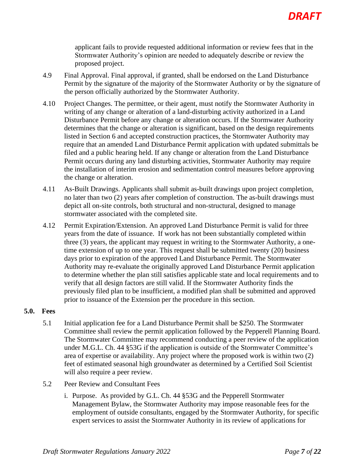applicant fails to provide requested additional information or review fees that in the Stormwater Authority's opinion are needed to adequately describe or review the proposed project.

- 4.9 Final Approval. Final approval, if granted, shall be endorsed on the Land Disturbance Permit by the signature of the majority of the Stormwater Authority or by the signature of the person officially authorized by the Stormwater Authority.
- 4.10 Project Changes. The permittee, or their agent, must notify the Stormwater Authority in writing of any change or alteration of a land-disturbing activity authorized in a Land Disturbance Permit before any change or alteration occurs. If the Stormwater Authority determines that the change or alteration is significant, based on the design requirements listed in Section 6 and accepted construction practices, the Stormwater Authority may require that an amended Land Disturbance Permit application with updated submittals be filed and a public hearing held. If any change or alteration from the Land Disturbance Permit occurs during any land disturbing activities, Stormwater Authority may require the installation of interim erosion and sedimentation control measures before approving the change or alteration.
- 4.11 As-Built Drawings. Applicants shall submit as-built drawings upon project completion, no later than two (2) years after completion of construction. The as-built drawings must depict all on-site controls, both structural and non-structural, designed to manage stormwater associated with the completed site.
- 4.12 Permit Expiration/Extension. An approved Land Disturbance Permit is valid for three years from the date of issuance. If work has not been substantially completed within three (3) years, the applicant may request in writing to the Stormwater Authority, a onetime extension of up to one year. This request shall be submitted twenty (20) business days prior to expiration of the approved Land Disturbance Permit. The Stormwater Authority may re-evaluate the originally approved Land Disturbance Permit application to determine whether the plan still satisfies applicable state and local requirements and to verify that all design factors are still valid. If the Stormwater Authority finds the previously filed plan to be insufficient, a modified plan shall be submitted and approved prior to issuance of the Extension per the procedure in this section.

#### <span id="page-6-0"></span>**5.0. Fees**

- 5.1 Initial application fee for a Land Disturbance Permit shall be \$250. The Stormwater Committee shall review the permit application followed by the Pepperell Planning Board. The Stormwater Committee may recommend conducting a peer review of the application under M.G.L. Ch. 44 §53G if the application is outside of the Stormwater Committee's area of expertise or availability. Any project where the proposed work is within two (2) feet of estimated seasonal high groundwater as determined by a Certified Soil Scientist will also require a peer review.
- 5.2 Peer Review and Consultant Fees
	- i. Purpose. As provided by G.L. Ch. 44 §53G and the Pepperell Stormwater Management Bylaw, the Stormwater Authority may impose reasonable fees for the employment of outside consultants, engaged by the Stormwater Authority, for specific expert services to assist the Stormwater Authority in its review of applications for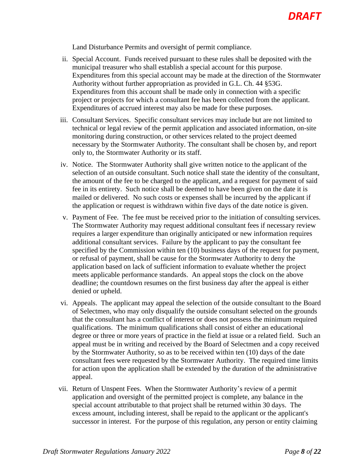Land Disturbance Permits and oversight of permit compliance.

- ii. Special Account. Funds received pursuant to these rules shall be deposited with the municipal treasurer who shall establish a special account for this purpose. Expenditures from this special account may be made at the direction of the Stormwater Authority without further appropriation as provided in G.L. Ch. 44 §53G. Expenditures from this account shall be made only in connection with a specific project or projects for which a consultant fee has been collected from the applicant. Expenditures of accrued interest may also be made for these purposes.
- iii. Consultant Services. Specific consultant services may include but are not limited to technical or legal review of the permit application and associated information, on-site monitoring during construction, or other services related to the project deemed necessary by the Stormwater Authority. The consultant shall be chosen by, and report only to, the Stormwater Authority or its staff.
- iv. Notice. The Stormwater Authority shall give written notice to the applicant of the selection of an outside consultant. Such notice shall state the identity of the consultant, the amount of the fee to be charged to the applicant, and a request for payment of said fee in its entirety. Such notice shall be deemed to have been given on the date it is mailed or delivered. No such costs or expenses shall be incurred by the applicant if the application or request is withdrawn within five days of the date notice is given.
- v. Payment of Fee. The fee must be received prior to the initiation of consulting services. The Stormwater Authority may request additional consultant fees if necessary review requires a larger expenditure than originally anticipated or new information requires additional consultant services. Failure by the applicant to pay the consultant fee specified by the Commission within ten (10) business days of the request for payment, or refusal of payment, shall be cause for the Stormwater Authority to deny the application based on lack of sufficient information to evaluate whether the project meets applicable performance standards. An appeal stops the clock on the above deadline; the countdown resumes on the first business day after the appeal is either denied or upheld.
- vi. Appeals. The applicant may appeal the selection of the outside consultant to the Board of Selectmen, who may only disqualify the outside consultant selected on the grounds that the consultant has a conflict of interest or does not possess the minimum required qualifications. The minimum qualifications shall consist of either an educational degree or three or more years of practice in the field at issue or a related field. Such an appeal must be in writing and received by the Board of Selectmen and a copy received by the Stormwater Authority, so as to be received within ten (10) days of the date consultant fees were requested by the Stormwater Authority. The required time limits for action upon the application shall be extended by the duration of the administrative appeal.
- vii. Return of Unspent Fees. When the Stormwater Authority's review of a permit application and oversight of the permitted project is complete, any balance in the special account attributable to that project shall be returned within 30 days. The excess amount, including interest, shall be repaid to the applicant or the applicant's successor in interest. For the purpose of this regulation, any person or entity claiming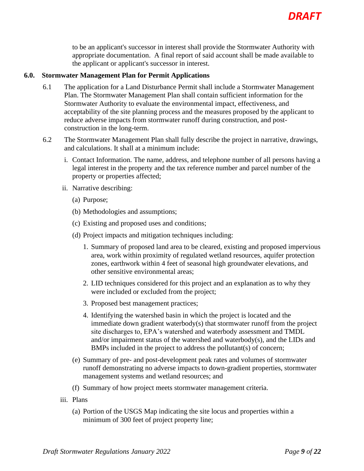

to be an applicant's successor in interest shall provide the Stormwater Authority with appropriate documentation. A final report of said account shall be made available to the applicant or applicant's successor in interest.

#### <span id="page-8-0"></span>**6.0. Stormwater Management Plan for Permit Applications**

- 6.1 The application for a Land Disturbance Permit shall include a Stormwater Management Plan. The Stormwater Management Plan shall contain sufficient information for the Stormwater Authority to evaluate the environmental impact, effectiveness, and acceptability of the site planning process and the measures proposed by the applicant to reduce adverse impacts from stormwater runoff during construction, and postconstruction in the long-term.
- 6.2 The Stormwater Management Plan shall fully describe the project in narrative, drawings, and calculations. It shall at a minimum include:
	- i. Contact Information. The name, address, and telephone number of all persons having a legal interest in the property and the tax reference number and parcel number of the property or properties affected;
	- ii. Narrative describing:
		- (a) Purpose;
		- (b) Methodologies and assumptions;
		- (c) Existing and proposed uses and conditions;
		- (d) Project impacts and mitigation techniques including:
			- 1. Summary of proposed land area to be cleared, existing and proposed impervious area, work within proximity of regulated wetland resources, aquifer protection zones, earthwork within 4 feet of seasonal high groundwater elevations, and other sensitive environmental areas;
			- 2. LID techniques considered for this project and an explanation as to why they were included or excluded from the project;
			- 3. Proposed best management practices;
			- 4. Identifying the watershed basin in which the project is located and the immediate down gradient waterbody(s) that stormwater runoff from the project site discharges to, EPA's watershed and waterbody assessment and TMDL and/or impairment status of the watershed and waterbody(s), and the LIDs and BMPs included in the project to address the pollutant(s) of concern;
		- (e) Summary of pre- and post-development peak rates and volumes of stormwater runoff demonstrating no adverse impacts to down-gradient properties, stormwater management systems and wetland resources; and
		- (f) Summary of how project meets stormwater management criteria.
	- iii. Plans
		- (a) Portion of the USGS Map indicating the site locus and properties within a minimum of 300 feet of project property line;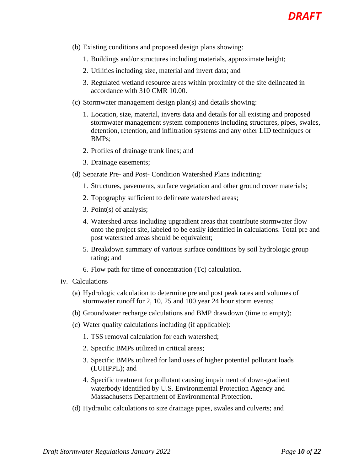- (b) Existing conditions and proposed design plans showing:
	- 1. Buildings and/or structures including materials, approximate height;
	- 2. Utilities including size, material and invert data; and
	- 3. Regulated wetland resource areas within proximity of the site delineated in accordance with 310 CMR 10.00.
- (c) Stormwater management design plan(s) and details showing:
	- 1. Location, size, material, inverts data and details for all existing and proposed stormwater management system components including structures, pipes, swales, detention, retention, and infiltration systems and any other LID techniques or BMPs;
	- 2. Profiles of drainage trunk lines; and
	- 3. Drainage easements;
- (d) Separate Pre- and Post- Condition Watershed Plans indicating:
	- 1. Structures, pavements, surface vegetation and other ground cover materials;
	- 2. Topography sufficient to delineate watershed areas;
	- 3. Point(s) of analysis;
	- 4. Watershed areas including upgradient areas that contribute stormwater flow onto the project site, labeled to be easily identified in calculations. Total pre and post watershed areas should be equivalent;
	- 5. Breakdown summary of various surface conditions by soil hydrologic group rating; and
	- 6. Flow path for time of concentration (Tc) calculation.
- iv. Calculations
	- (a) Hydrologic calculation to determine pre and post peak rates and volumes of stormwater runoff for 2, 10, 25 and 100 year 24 hour storm events;
	- (b) Groundwater recharge calculations and BMP drawdown (time to empty);
	- (c) Water quality calculations including (if applicable):
		- 1. TSS removal calculation for each watershed;
		- 2. Specific BMPs utilized in critical areas;
		- 3. Specific BMPs utilized for land uses of higher potential pollutant loads (LUHPPL); and
		- 4. Specific treatment for pollutant causing impairment of down-gradient waterbody identified by U.S. Environmental Protection Agency and Massachusetts Department of Environmental Protection.
	- (d) Hydraulic calculations to size drainage pipes, swales and culverts; and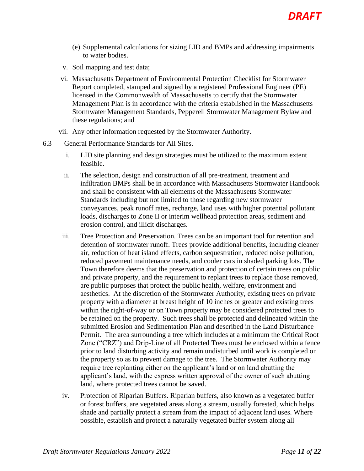- (e) Supplemental calculations for sizing LID and BMPs and addressing impairments to water bodies.
- v. Soil mapping and test data;
- vi. Massachusetts Department of Environmental Protection Checklist for Stormwater Report completed, stamped and signed by a registered Professional Engineer (PE) licensed in the Commonwealth of Massachusetts to certify that the Stormwater Management Plan is in accordance with the criteria established in the Massachusetts Stormwater Management Standards, Pepperell Stormwater Management Bylaw and these regulations; and
- vii. Any other information requested by the Stormwater Authority.
- 6.3 General Performance Standards for All Sites.
	- i. LID site planning and design strategies must be utilized to the maximum extent feasible.
	- ii. The selection, design and construction of all pre-treatment, treatment and infiltration BMPs shall be in accordance with Massachusetts Stormwater Handbook and shall be consistent with all elements of the Massachusetts Stormwater Standards including but not limited to those regarding new stormwater conveyances, peak runoff rates, recharge, land uses with higher potential pollutant loads, discharges to Zone II or interim wellhead protection areas, sediment and erosion control, and illicit discharges.
	- iii. Tree Protection and Preservation. Trees can be an important tool for retention and detention of stormwater runoff. Trees provide additional benefits, including cleaner air, reduction of heat island effects, carbon sequestration, reduced noise pollution, reduced pavement maintenance needs, and cooler cars in shaded parking lots. The Town therefore deems that the preservation and protection of certain trees on public and private property, and the requirement to replant trees to replace those removed, are public purposes that protect the public health, welfare, environment and aesthetics. At the discretion of the Stormwater Authority, existing trees on private property with a diameter at breast height of 10 inches or greater and existing trees within the right-of-way or on Town property may be considered protected trees to be retained on the property. Such trees shall be protected and delineated within the submitted Erosion and Sedimentation Plan and described in the Land Disturbance Permit. The area surrounding a tree which includes at a minimum the Critical Root Zone ("CRZ") and Drip-Line of all Protected Trees must be enclosed within a fence prior to land disturbing activity and remain undisturbed until work is completed on the property so as to prevent damage to the tree. The Stormwater Authority may require tree replanting either on the applicant's land or on land abutting the applicant's land, with the express written approval of the owner of such abutting land, where protected trees cannot be saved.
	- iv. Protection of Riparian Buffers. Riparian buffers, also known as a vegetated buffer or forest buffers, are vegetated areas along a stream, usually forested, which helps shade and partially protect a stream from the impact of adjacent land uses. Where possible, establish and protect a naturally vegetated buffer system along all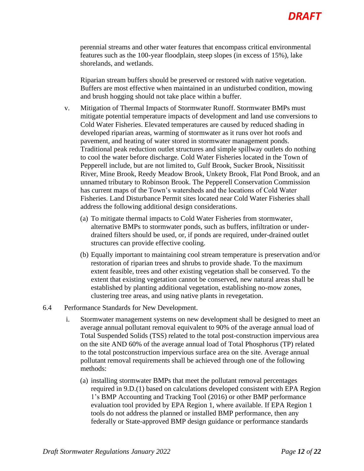perennial streams and other water features that encompass critical environmental features such as the 100-year floodplain, steep slopes (in excess of 15%), lake shorelands, and wetlands.

Riparian stream buffers should be preserved or restored with native vegetation. Buffers are most effective when maintained in an undisturbed condition, mowing and brush hogging should not take place within a buffer.

- v. Mitigation of Thermal Impacts of Stormwater Runoff. Stormwater BMPs must mitigate potential temperature impacts of development and land use conversions to Cold Water Fisheries. Elevated temperatures are caused by reduced shading in developed riparian areas, warming of stormwater as it runs over hot roofs and pavement, and heating of water stored in stormwater management ponds. Traditional peak reduction outlet structures and simple spillway outlets do nothing to cool the water before discharge. Cold Water Fisheries located in the Town of Pepperell include, but are not limited to, Gulf Brook, Sucker Brook, Nissitissit River, Mine Brook, Reedy Meadow Brook, Unkety Brook, Flat Pond Brook, and an unnamed tributary to Robinson Brook. The Pepperell Conservation Commission has current maps of the Town's watersheds and the locations of Cold Water Fisheries. Land Disturbance Permit sites located near Cold Water Fisheries shall address the following additional design considerations.
	- (a) To mitigate thermal impacts to Cold Water Fisheries from stormwater, alternative BMPs to stormwater ponds, such as buffers, infiltration or underdrained filters should be used, or, if ponds are required, under-drained outlet structures can provide effective cooling.
	- (b) Equally important to maintaining cool stream temperature is preservation and/or restoration of riparian trees and shrubs to provide shade. To the maximum extent feasible, trees and other existing vegetation shall be conserved. To the extent that existing vegetation cannot be conserved, new natural areas shall be established by planting additional vegetation, establishing no-mow zones, clustering tree areas, and using native plants in revegetation.
- 6.4 Performance Standards for New Development.
	- i. Stormwater management systems on new development shall be designed to meet an average annual pollutant removal equivalent to 90% of the average annual load of Total Suspended Solids (TSS) related to the total post-construction impervious area on the site AND 60% of the average annual load of Total Phosphorus (TP) related to the total postconstruction impervious surface area on the site. Average annual pollutant removal requirements shall be achieved through one of the following methods:
		- (a) installing stormwater BMPs that meet the pollutant removal percentages required in 9.D.(1) based on calculations developed consistent with EPA Region 1's BMP Accounting and Tracking Tool (2016) or other BMP performance evaluation tool provided by EPA Region 1, where available. If EPA Region 1 tools do not address the planned or installed BMP performance, then any federally or State-approved BMP design guidance or performance standards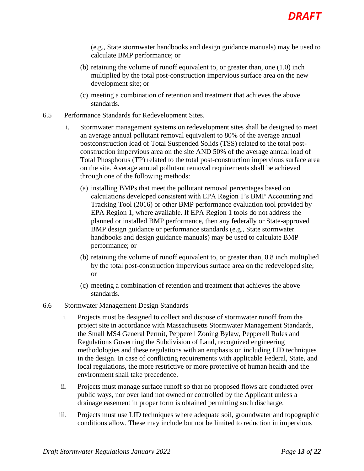(e.g., State stormwater handbooks and design guidance manuals) may be used to calculate BMP performance; or

- (b) retaining the volume of runoff equivalent to, or greater than, one (1.0) inch multiplied by the total post-construction impervious surface area on the new development site; or
- (c) meeting a combination of retention and treatment that achieves the above standards.
- 6.5 Performance Standards for Redevelopment Sites.
	- i. Stormwater management systems on redevelopment sites shall be designed to meet an average annual pollutant removal equivalent to 80% of the average annual postconstruction load of Total Suspended Solids (TSS) related to the total postconstruction impervious area on the site AND 50% of the average annual load of Total Phosphorus (TP) related to the total post-construction impervious surface area on the site. Average annual pollutant removal requirements shall be achieved through one of the following methods:
		- (a) installing BMPs that meet the pollutant removal percentages based on calculations developed consistent with EPA Region 1's BMP Accounting and Tracking Tool (2016) or other BMP performance evaluation tool provided by EPA Region 1, where available. If EPA Region 1 tools do not address the planned or installed BMP performance, then any federally or State-approved BMP design guidance or performance standards (e.g., State stormwater handbooks and design guidance manuals) may be used to calculate BMP performance; or
		- (b) retaining the volume of runoff equivalent to, or greater than, 0.8 inch multiplied by the total post-construction impervious surface area on the redeveloped site; or
		- (c) meeting a combination of retention and treatment that achieves the above standards.
- 6.6 Stormwater Management Design Standards
	- i. Projects must be designed to collect and dispose of stormwater runoff from the project site in accordance with Massachusetts Stormwater Management Standards, the Small MS4 General Permit, Pepperell Zoning Bylaw, Pepperell Rules and Regulations Governing the Subdivision of Land, recognized engineering methodologies and these regulations with an emphasis on including LID techniques in the design. In case of conflicting requirements with applicable Federal, State, and local regulations, the more restrictive or more protective of human health and the environment shall take precedence.
	- ii. Projects must manage surface runoff so that no proposed flows are conducted over public ways, nor over land not owned or controlled by the Applicant unless a drainage easement in proper form is obtained permitting such discharge.
	- iii. Projects must use LID techniques where adequate soil, groundwater and topographic conditions allow. These may include but not be limited to reduction in impervious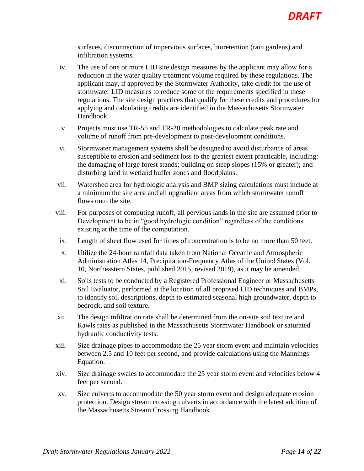surfaces, disconnection of impervious surfaces, bioretention (rain gardens) and infiltration systems.

- iv. The use of one or more LID site design measures by the applicant may allow for a reduction in the water quality treatment volume required by these regulations. The applicant may, if approved by the Stormwater Authority, take credit for the use of stormwater LID measures to reduce some of the requirements specified in these regulations. The site design practices that qualify for these credits and procedures for applying and calculating credits are identified in the Massachusetts Stormwater Handbook.
- v. Projects must use TR-55 and TR-20 methodologies to calculate peak rate and volume of runoff from pre-development to post-development conditions.
- vi. Stormwater management systems shall be designed to avoid disturbance of areas susceptible to erosion and sediment loss to the greatest extent practicable, including: the damaging of large forest stands; building on steep slopes (15% or greater); and disturbing land in wetland buffer zones and floodplains.
- vii. Watershed area for hydrologic analysis and BMP sizing calculations must include at a minimum the site area and all upgradient areas from which stormwater runoff flows onto the site.
- viii. For purposes of computing runoff, all pervious lands in the site are assumed prior to Development to be in "good hydrologic condition" regardless of the conditions existing at the time of the computation.
- ix. Length of sheet flow used for times of concentration is to be no more than 50 feet.
- x. Utilize the 24-hour rainfall data taken from National Oceanic and Atmospheric Administration Atlas 14, Precipitation-Frequency Atlas of the United States (Vol. 10, Northeastern States, published 2015, revised 2019), as it may be amended.
- xi. Soils tests to be conducted by a Registered Professional Engineer or Massachusetts Soil Evaluator, performed at the location of all proposed LID techniques and BMPs, to identify soil descriptions, depth to estimated seasonal high groundwater, depth to bedrock, and soil texture.
- xii. The design infiltration rate shall be determined from the on-site soil texture and Rawls rates as published in the Massachusetts Stormwater Handbook or saturated hydraulic conductivity tests.
- xiii. Size drainage pipes to accommodate the 25 year storm event and maintain velocities between 2.5 and 10 feet per second, and provide calculations using the Mannings Equation.
- xiv. Size drainage swales to accommodate the 25 year storm event and velocities below 4 feet per second.
- xv. Size culverts to accommodate the 50 year storm event and design adequate erosion protection. Design stream crossing culverts in accordance with the latest addition of the Massachusetts Stream Crossing Handbook.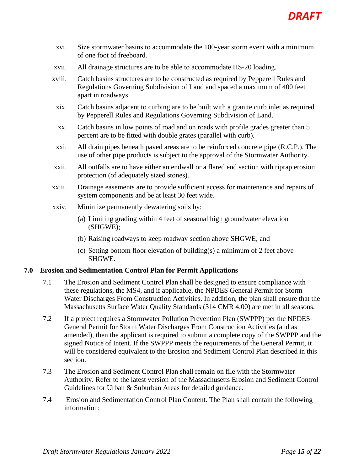- xvi. Size stormwater basins to accommodate the 100-year storm event with a minimum of one foot of freeboard.
- xvii. All drainage structures are to be able to accommodate HS-20 loading.
- xviii. Catch basins structures are to be constructed as required by Pepperell Rules and Regulations Governing Subdivision of Land and spaced a maximum of 400 feet apart in roadways.
	- xix. Catch basins adjacent to curbing are to be built with a granite curb inlet as required by Pepperell Rules and Regulations Governing Subdivision of Land.
	- xx. Catch basins in low points of road and on roads with profile grades greater than 5 percent are to be fitted with double grates (parallel with curb).
	- xxi. All drain pipes beneath paved areas are to be reinforced concrete pipe (R.C.P.). The use of other pipe products is subject to the approval of the Stormwater Authority.
- xxii. All outfalls are to have either an endwall or a flared end section with riprap erosion protection (of adequately sized stones).
- xxiii. Drainage easements are to provide sufficient access for maintenance and repairs of system components and be at least 30 feet wide.
- xxiv. Minimize permanently dewatering soils by:
	- (a) Limiting grading within 4 feet of seasonal high groundwater elevation (SHGWE);
	- (b) Raising roadways to keep roadway section above SHGWE; and
	- (c) Setting bottom floor elevation of building(s) a minimum of 2 feet above SHGWE.

#### <span id="page-14-0"></span>**7.0 Erosion and Sedimentation Control Plan for Permit Applications**

- 7.1 The Erosion and Sediment Control Plan shall be designed to ensure compliance with these regulations, the MS4, and if applicable, the NPDES General Permit for Storm Water Discharges From Construction Activities. In addition, the plan shall ensure that the Massachusetts Surface Water Quality Standards (314 CMR 4.00) are met in all seasons.
- 7.2 If a project requires a Stormwater Pollution Prevention Plan (SWPPP) per the NPDES General Permit for Storm Water Discharges From Construction Activities (and as amended), then the applicant is required to submit a complete copy of the SWPPP and the signed Notice of Intent. If the SWPPP meets the requirements of the General Permit, it will be considered equivalent to the Erosion and Sediment Control Plan described in this section.
- 7.3 The Erosion and Sediment Control Plan shall remain on file with the Stormwater Authority. Refer to the latest version of the Massachusetts Erosion and Sediment Control Guidelines for Urban & Suburban Areas for detailed guidance.
- 7.4 Erosion and Sedimentation Control Plan Content. The Plan shall contain the following information: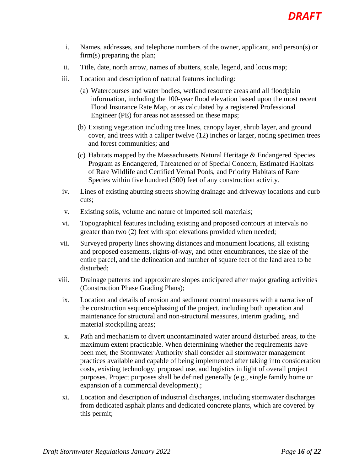- i. Names, addresses, and telephone numbers of the owner, applicant, and person(s) or firm(s) preparing the plan;
- ii. Title, date, north arrow, names of abutters, scale, legend, and locus map;
- iii. Location and description of natural features including:
	- (a) Watercourses and water bodies, wetland resource areas and all floodplain information, including the 100-year flood elevation based upon the most recent Flood Insurance Rate Map, or as calculated by a registered Professional Engineer (PE) for areas not assessed on these maps;
	- (b) Existing vegetation including tree lines, canopy layer, shrub layer, and ground cover, and trees with a caliper twelve (12) inches or larger, noting specimen trees and forest communities; and
	- (c) Habitats mapped by the Massachusetts Natural Heritage & Endangered Species Program as Endangered, Threatened or of Special Concern, Estimated Habitats of Rare Wildlife and Certified Vernal Pools, and Priority Habitats of Rare Species within five hundred (500) feet of any construction activity.
- iv. Lines of existing abutting streets showing drainage and driveway locations and curb cuts;
- v. Existing soils, volume and nature of imported soil materials;
- vi. Topographical features including existing and proposed contours at intervals no greater than two (2) feet with spot elevations provided when needed;
- vii. Surveyed property lines showing distances and monument locations, all existing and proposed easements, rights-of-way, and other encumbrances, the size of the entire parcel, and the delineation and number of square feet of the land area to be disturbed;
- viii. Drainage patterns and approximate slopes anticipated after major grading activities (Construction Phase Grading Plans);
	- ix. Location and details of erosion and sediment control measures with a narrative of the construction sequence/phasing of the project, including both operation and maintenance for structural and non-structural measures, interim grading, and material stockpiling areas;
	- x. Path and mechanism to divert uncontaminated water around disturbed areas, to the maximum extent practicable. When determining whether the requirements have been met, the Stormwater Authority shall consider all stormwater management practices available and capable of being implemented after taking into consideration costs, existing technology, proposed use, and logistics in light of overall project purposes. Project purposes shall be defined generally (e.g., single family home or expansion of a commercial development).;
	- xi. Location and description of industrial discharges, including stormwater discharges from dedicated asphalt plants and dedicated concrete plants, which are covered by this permit;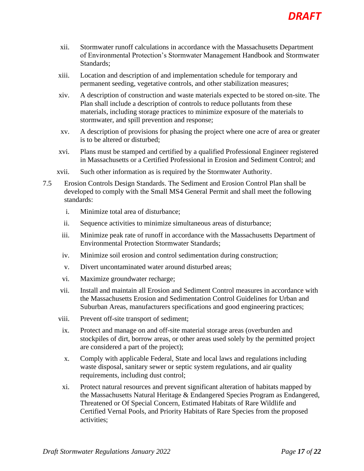

- xii. Stormwater runoff calculations in accordance with the Massachusetts Department of Environmental Protection's Stormwater Management Handbook and Stormwater Standards;
- xiii. Location and description of and implementation schedule for temporary and permanent seeding, vegetative controls, and other stabilization measures;
- xiv. A description of construction and waste materials expected to be stored on-site. The Plan shall include a description of controls to reduce pollutants from these materials, including storage practices to minimize exposure of the materials to stormwater, and spill prevention and response;
- xv. A description of provisions for phasing the project where one acre of area or greater is to be altered or disturbed;
- xvi. Plans must be stamped and certified by a qualified Professional Engineer registered in Massachusetts or a Certified Professional in Erosion and Sediment Control; and
- xvii. Such other information as is required by the Stormwater Authority.
- 7.5 Erosion Controls Design Standards. The Sediment and Erosion Control Plan shall be developed to comply with the Small MS4 General Permit and shall meet the following standards:
	- i. Minimize total area of disturbance;
	- ii. Sequence activities to minimize simultaneous areas of disturbance;
	- iii. Minimize peak rate of runoff in accordance with the Massachusetts Department of Environmental Protection Stormwater Standards;
	- iv. Minimize soil erosion and control sedimentation during construction;
	- v. Divert uncontaminated water around disturbed areas;
	- vi. Maximize groundwater recharge;
	- vii. Install and maintain all Erosion and Sediment Control measures in accordance with the Massachusetts Erosion and Sedimentation Control Guidelines for Urban and Suburban Areas, manufacturers specifications and good engineering practices;
	- viii. Prevent off-site transport of sediment;
	- ix. Protect and manage on and off-site material storage areas (overburden and stockpiles of dirt, borrow areas, or other areas used solely by the permitted project are considered a part of the project);
	- x. Comply with applicable Federal, State and local laws and regulations including waste disposal, sanitary sewer or septic system regulations, and air quality requirements, including dust control;
	- xi. Protect natural resources and prevent significant alteration of habitats mapped by the Massachusetts Natural Heritage & Endangered Species Program as Endangered, Threatened or Of Special Concern, Estimated Habitats of Rare Wildlife and Certified Vernal Pools, and Priority Habitats of Rare Species from the proposed activities;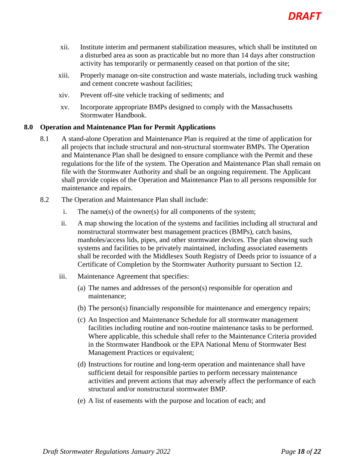

- xii. Institute interim and permanent stabilization measures, which shall be instituted on a disturbed area as soon as practicable but no more than 14 days after construction activity has temporarily or permanently ceased on that portion of the site;
- xiii. Properly manage on-site construction and waste materials, including truck washing and cement concrete washout facilities;
- xiv. Prevent off-site vehicle tracking of sediments; and
- xv. Incorporate appropriate BMPs designed to comply with the Massachusetts Stormwater Handbook.

#### <span id="page-17-0"></span>**8.0 Operation and Maintenance Plan for Permit Applications**

- 8.1 A stand-alone Operation and Maintenance Plan is required at the time of application for all projects that include structural and non-structural stormwater BMPs. The Operation and Maintenance Plan shall be designed to ensure compliance with the Permit and these regulations for the life of the system. The Operation and Maintenance Plan shall remain on file with the Stormwater Authority and shall be an ongoing requirement. The Applicant shall provide copies of the Operation and Maintenance Plan to all persons responsible for maintenance and repairs.
- 8.2 The Operation and Maintenance Plan shall include:
	- i. The name(s) of the owner(s) for all components of the system;
	- ii. A map showing the location of the systems and facilities including all structural and nonstructural stormwater best management practices (BMPs), catch basins, manholes/access lids, pipes, and other stormwater devices. The plan showing such systems and facilities to be privately maintained, including associated easements shall be recorded with the Middlesex South Registry of Deeds prior to issuance of a Certificate of Completion by the Stormwater Authority pursuant to Section 12.
	- iii. Maintenance Agreement that specifies:
		- (a) The names and addresses of the person(s) responsible for operation and maintenance;
		- (b) The person(s) financially responsible for maintenance and emergency repairs;
		- (c) An Inspection and Maintenance Schedule for all stormwater management facilities including routine and non-routine maintenance tasks to be performed. Where applicable, this schedule shall refer to the Maintenance Criteria provided in the Stormwater Handbook or the EPA National Menu of Stormwater Best Management Practices or equivalent;
		- (d) Instructions for routine and long-term operation and maintenance shall have sufficient detail for responsible parties to perform necessary maintenance activities and prevent actions that may adversely affect the performance of each structural and/or nonstructural stormwater BMP.
		- (e) A list of easements with the purpose and location of each; and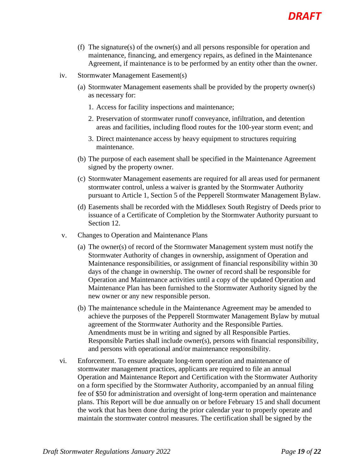

- (f) The signature(s) of the owner(s) and all persons responsible for operation and maintenance, financing, and emergency repairs, as defined in the Maintenance Agreement, if maintenance is to be performed by an entity other than the owner.
- iv. Stormwater Management Easement(s)
	- (a) Stormwater Management easements shall be provided by the property owner(s) as necessary for:
		- 1. Access for facility inspections and maintenance;
		- 2. Preservation of stormwater runoff conveyance, infiltration, and detention areas and facilities, including flood routes for the 100-year storm event; and
		- 3. Direct maintenance access by heavy equipment to structures requiring maintenance.
	- (b) The purpose of each easement shall be specified in the Maintenance Agreement signed by the property owner.
	- (c) Stormwater Management easements are required for all areas used for permanent stormwater control, unless a waiver is granted by the Stormwater Authority pursuant to Article 1, Section 5 of the Pepperell Stormwater Management Bylaw.
	- (d) Easements shall be recorded with the Middlesex South Registry of Deeds prior to issuance of a Certificate of Completion by the Stormwater Authority pursuant to Section 12.
- v. Changes to Operation and Maintenance Plans
	- (a) The owner(s) of record of the Stormwater Management system must notify the Stormwater Authority of changes in ownership, assignment of Operation and Maintenance responsibilities, or assignment of financial responsibility within 30 days of the change in ownership. The owner of record shall be responsible for Operation and Maintenance activities until a copy of the updated Operation and Maintenance Plan has been furnished to the Stormwater Authority signed by the new owner or any new responsible person.
	- (b) The maintenance schedule in the Maintenance Agreement may be amended to achieve the purposes of the Pepperell Stormwater Management Bylaw by mutual agreement of the Stormwater Authority and the Responsible Parties. Amendments must be in writing and signed by all Responsible Parties. Responsible Parties shall include owner(s), persons with financial responsibility, and persons with operational and/or maintenance responsibility.
- vi. Enforcement. To ensure adequate long-term operation and maintenance of stormwater management practices, applicants are required to file an annual Operation and Maintenance Report and Certification with the Stormwater Authority on a form specified by the Stormwater Authority, accompanied by an annual filing fee of \$50 for administration and oversight of long-term operation and maintenance plans. This Report will be due annually on or before February 15 and shall document the work that has been done during the prior calendar year to properly operate and maintain the stormwater control measures. The certification shall be signed by the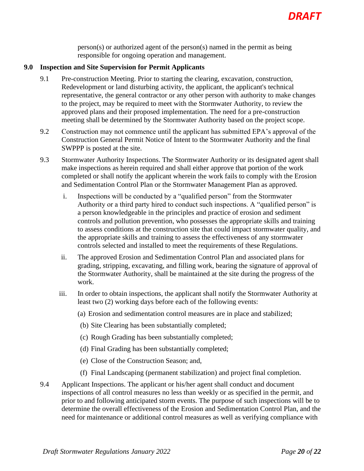

person(s) or authorized agent of the person(s) named in the permit as being responsible for ongoing operation and management.

#### <span id="page-19-0"></span>**9.0 Inspection and Site Supervision for Permit Applicants**

- 9.1 Pre-construction Meeting. Prior to starting the clearing, excavation, construction, Redevelopment or land disturbing activity, the applicant, the applicant's technical representative, the general contractor or any other person with authority to make changes to the project, may be required to meet with the Stormwater Authority, to review the approved plans and their proposed implementation. The need for a pre-construction meeting shall be determined by the Stormwater Authority based on the project scope.
- 9.2 Construction may not commence until the applicant has submitted EPA's approval of the Construction General Permit Notice of Intent to the Stormwater Authority and the final SWPPP is posted at the site.
- 9.3 Stormwater Authority Inspections. The Stormwater Authority or its designated agent shall make inspections as herein required and shall either approve that portion of the work completed or shall notify the applicant wherein the work fails to comply with the Erosion and Sedimentation Control Plan or the Stormwater Management Plan as approved.
	- i. Inspections will be conducted by a "qualified person" from the Stormwater Authority or a third party hired to conduct such inspections. A "qualified person" is a person knowledgeable in the principles and practice of erosion and sediment controls and pollution prevention, who possesses the appropriate skills and training to assess conditions at the construction site that could impact stormwater quality, and the appropriate skills and training to assess the effectiveness of any stormwater controls selected and installed to meet the requirements of these Regulations.
	- ii. The approved Erosion and Sedimentation Control Plan and associated plans for grading, stripping, excavating, and filling work, bearing the signature of approval of the Stormwater Authority, shall be maintained at the site during the progress of the work.
	- iii. In order to obtain inspections, the applicant shall notify the Stormwater Authority at least two (2) working days before each of the following events:
		- (a) Erosion and sedimentation control measures are in place and stabilized;
		- (b) Site Clearing has been substantially completed;
		- (c) Rough Grading has been substantially completed;
		- (d) Final Grading has been substantially completed;
		- (e) Close of the Construction Season; and,
		- (f) Final Landscaping (permanent stabilization) and project final completion.
- 9.4 Applicant Inspections. The applicant or his/her agent shall conduct and document inspections of all control measures no less than weekly or as specified in the permit, and prior to and following anticipated storm events. The purpose of such inspections will be to determine the overall effectiveness of the Erosion and Sedimentation Control Plan, and the need for maintenance or additional control measures as well as verifying compliance with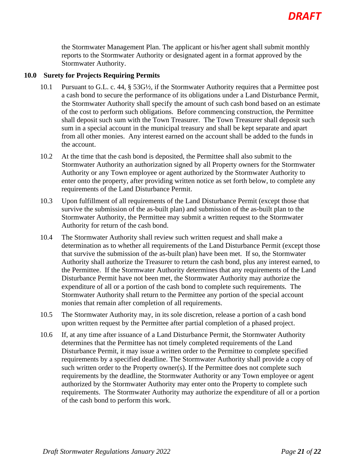the Stormwater Management Plan. The applicant or his/her agent shall submit monthly reports to the Stormwater Authority or designated agent in a format approved by the Stormwater Authority.

#### <span id="page-20-0"></span>**10.0 Surety for Projects Requiring Permits**

- 10.1 Pursuant to G.L. c. 44, § 53G½, if the Stormwater Authority requires that a Permittee post a cash bond to secure the performance of its obligations under a Land Disturbance Permit, the Stormwater Authority shall specify the amount of such cash bond based on an estimate of the cost to perform such obligations. Before commencing construction, the Permittee shall deposit such sum with the Town Treasurer. The Town Treasurer shall deposit such sum in a special account in the municipal treasury and shall be kept separate and apart from all other monies. Any interest earned on the account shall be added to the funds in the account.
- 10.2 At the time that the cash bond is deposited, the Permittee shall also submit to the Stormwater Authority an authorization signed by all Property owners for the Stormwater Authority or any Town employee or agent authorized by the Stormwater Authority to enter onto the property, after providing written notice as set forth below, to complete any requirements of the Land Disturbance Permit.
- 10.3 Upon fulfillment of all requirements of the Land Disturbance Permit (except those that survive the submission of the as-built plan) and submission of the as-built plan to the Stormwater Authority, the Permittee may submit a written request to the Stormwater Authority for return of the cash bond.
- 10.4 The Stormwater Authority shall review such written request and shall make a determination as to whether all requirements of the Land Disturbance Permit (except those that survive the submission of the as-built plan) have been met. If so, the Stormwater Authority shall authorize the Treasurer to return the cash bond, plus any interest earned, to the Permittee. If the Stormwater Authority determines that any requirements of the Land Disturbance Permit have not been met, the Stormwater Authority may authorize the expenditure of all or a portion of the cash bond to complete such requirements. The Stormwater Authority shall return to the Permittee any portion of the special account monies that remain after completion of all requirements.
- 10.5 The Stormwater Authority may, in its sole discretion, release a portion of a cash bond upon written request by the Permittee after partial completion of a phased project.
- 10.6 If, at any time after issuance of a Land Disturbance Permit, the Stormwater Authority determines that the Permittee has not timely completed requirements of the Land Disturbance Permit, it may issue a written order to the Permittee to complete specified requirements by a specified deadline. The Stormwater Authority shall provide a copy of such written order to the Property owner(s). If the Permittee does not complete such requirements by the deadline, the Stormwater Authority or any Town employee or agent authorized by the Stormwater Authority may enter onto the Property to complete such requirements. The Stormwater Authority may authorize the expenditure of all or a portion of the cash bond to perform this work.